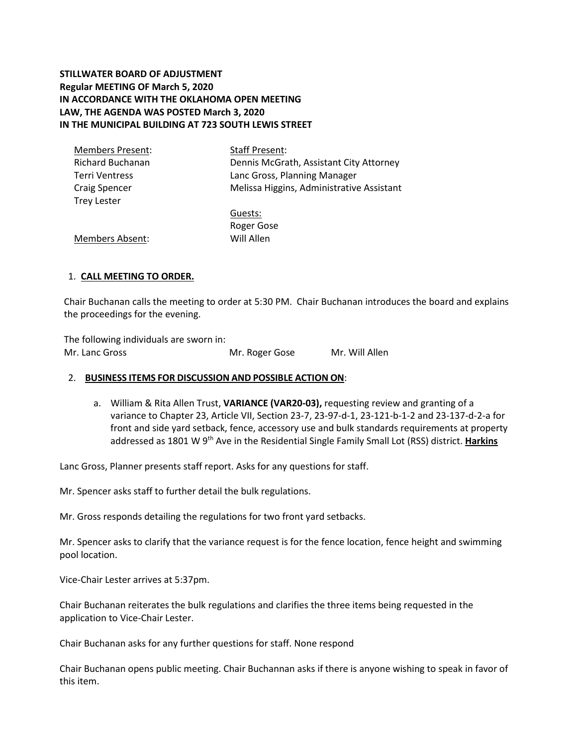# **STILLWATER BOARD OF ADJUSTMENT Regular MEETING OF March 5, 2020 IN ACCORDANCE WITH THE OKLAHOMA OPEN MEETING LAW, THE AGENDA WAS POSTED March 3, 2020 IN THE MUNICIPAL BUILDING AT 723 SOUTH LEWIS STREET**

| <b>Members Present:</b> | <b>Staff Present:</b>                     |  |  |
|-------------------------|-------------------------------------------|--|--|
| <b>Richard Buchanan</b> | Dennis McGrath, Assistant City Attorney   |  |  |
| <b>Terri Ventress</b>   | Lanc Gross, Planning Manager              |  |  |
| <b>Craig Spencer</b>    | Melissa Higgins, Administrative Assistant |  |  |
| <b>Trey Lester</b>      |                                           |  |  |
|                         | Guests:                                   |  |  |
|                         | Roger Gose                                |  |  |
| <b>Members Absent:</b>  | Will Allen                                |  |  |

# 1. **CALL MEETING TO ORDER.**

Chair Buchanan calls the meeting to order at 5:30 PM. Chair Buchanan introduces the board and explains the proceedings for the evening.

The following individuals are sworn in: Mr. Lanc Gross **Mr. Roger Gose** Mr. Will Allen

#### 2. **BUSINESS ITEMS FOR DISCUSSION AND POSSIBLE ACTION ON**:

a. William & Rita Allen Trust, **VARIANCE (VAR20-03),** requesting review and granting of a variance to Chapter 23, Article VII, Section 23-7, 23-97-d-1, 23-121-b-1-2 and 23-137-d-2-a for front and side yard setback, fence, accessory use and bulk standards requirements at property addressed as 1801 W 9th Ave in the Residential Single Family Small Lot (RSS) district. **Harkins**

Lanc Gross, Planner presents staff report. Asks for any questions for staff.

Mr. Spencer asks staff to further detail the bulk regulations.

Mr. Gross responds detailing the regulations for two front yard setbacks.

Mr. Spencer asks to clarify that the variance request is for the fence location, fence height and swimming pool location.

Vice-Chair Lester arrives at 5:37pm.

Chair Buchanan reiterates the bulk regulations and clarifies the three items being requested in the application to Vice-Chair Lester.

Chair Buchanan asks for any further questions for staff. None respond

Chair Buchanan opens public meeting. Chair Buchannan asks if there is anyone wishing to speak in favor of this item.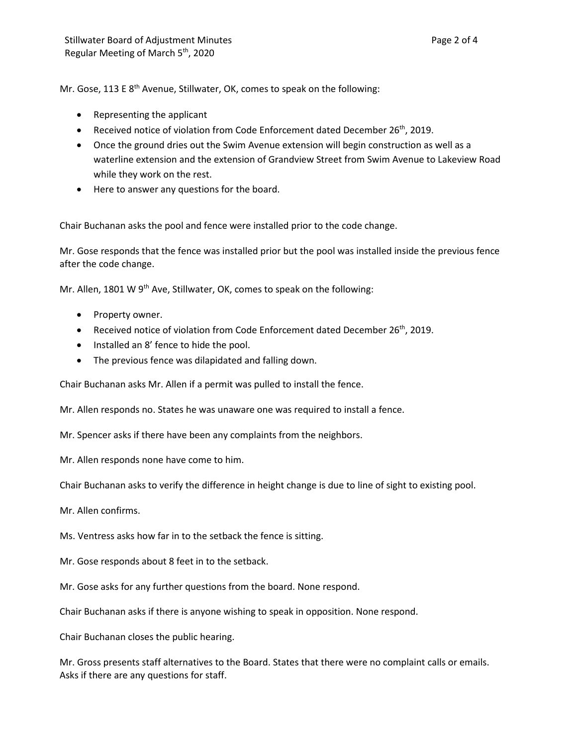Mr. Gose, 113 E  $8<sup>th</sup>$  Avenue, Stillwater, OK, comes to speak on the following:

- Representing the applicant
- Received notice of violation from Code Enforcement dated December 26<sup>th</sup>, 2019.
- Once the ground dries out the Swim Avenue extension will begin construction as well as a waterline extension and the extension of Grandview Street from Swim Avenue to Lakeview Road while they work on the rest.
- Here to answer any questions for the board.

Chair Buchanan asks the pool and fence were installed prior to the code change.

Mr. Gose responds that the fence was installed prior but the pool was installed inside the previous fence after the code change.

Mr. Allen, 1801 W 9<sup>th</sup> Ave, Stillwater, OK, comes to speak on the following:

- Property owner.
- Received notice of violation from Code Enforcement dated December  $26<sup>th</sup>$ , 2019.
- Installed an 8' fence to hide the pool.
- The previous fence was dilapidated and falling down.

Chair Buchanan asks Mr. Allen if a permit was pulled to install the fence.

Mr. Allen responds no. States he was unaware one was required to install a fence.

Mr. Spencer asks if there have been any complaints from the neighbors.

Mr. Allen responds none have come to him.

Chair Buchanan asks to verify the difference in height change is due to line of sight to existing pool.

Mr. Allen confirms.

Ms. Ventress asks how far in to the setback the fence is sitting.

- Mr. Gose responds about 8 feet in to the setback.
- Mr. Gose asks for any further questions from the board. None respond.

Chair Buchanan asks if there is anyone wishing to speak in opposition. None respond.

Chair Buchanan closes the public hearing.

Mr. Gross presents staff alternatives to the Board. States that there were no complaint calls or emails. Asks if there are any questions for staff.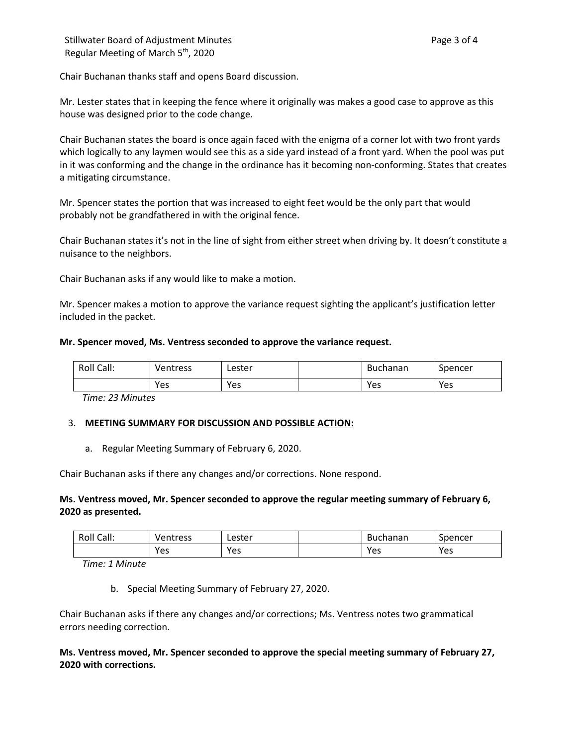Chair Buchanan thanks staff and opens Board discussion.

Mr. Lester states that in keeping the fence where it originally was makes a good case to approve as this house was designed prior to the code change.

Chair Buchanan states the board is once again faced with the enigma of a corner lot with two front yards which logically to any laymen would see this as a side yard instead of a front yard. When the pool was put in it was conforming and the change in the ordinance has it becoming non-conforming. States that creates a mitigating circumstance.

Mr. Spencer states the portion that was increased to eight feet would be the only part that would probably not be grandfathered in with the original fence.

Chair Buchanan states it's not in the line of sight from either street when driving by. It doesn't constitute a nuisance to the neighbors.

Chair Buchanan asks if any would like to make a motion.

Mr. Spencer makes a motion to approve the variance request sighting the applicant's justification letter included in the packet.

#### **Mr. Spencer moved, Ms. Ventress seconded to approve the variance request.**

| Call:<br>Roll | Ventress | Lester | <b>Buchanan</b> | Spencer |
|---------------|----------|--------|-----------------|---------|
|               | Yes      | Yes    | Yes             | Yes     |

*Time: 23 Minutes*

#### 3. **MEETING SUMMARY FOR DISCUSSION AND POSSIBLE ACTION:**

a. Regular Meeting Summary of February 6, 2020.

Chair Buchanan asks if there any changes and/or corrections. None respond.

### **Ms. Ventress moved, Mr. Spencer seconded to approve the regular meeting summary of February 6, 2020 as presented.**

| Call:<br>Roll | ventress | Lester | Buchanan | Spencer |
|---------------|----------|--------|----------|---------|
|               | Yes      | Yes    | Yes      | Yes     |

*Time: 1 Minute*

b. Special Meeting Summary of February 27, 2020.

Chair Buchanan asks if there any changes and/or corrections; Ms. Ventress notes two grammatical errors needing correction.

**Ms. Ventress moved, Mr. Spencer seconded to approve the special meeting summary of February 27, 2020 with corrections.**